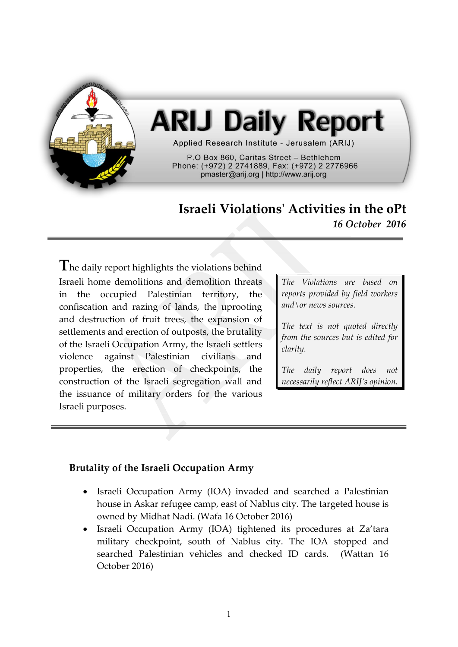

# **ARIJ Daily Report**

Applied Research Institute - Jerusalem (ARIJ)

P.O Box 860, Caritas Street - Bethlehem Phone: (+972) 2 2741889, Fax: (+972) 2 2776966 pmaster@arij.org | http://www.arij.org

## **Israeli Violations' Activities in the oPt** *16 October 2016*

**T**he daily report highlights the violations behind Israeli home demolitions and demolition threats in the occupied Palestinian territory, the confiscation and razing of lands, the uprooting and destruction of fruit trees, the expansion of settlements and erection of outposts, the brutality of the Israeli Occupation Army, the Israeli settlers violence against Palestinian civilians and properties, the erection of checkpoints, the construction of the Israeli segregation wall and the issuance of military orders for the various Israeli purposes.

*The Violations are based on reports provided by field workers and\or news sources.*

*The text is not quoted directly from the sources but is edited for clarity.*

*The daily report does not necessarily reflect ARIJ's opinion.*

#### **Brutality of the Israeli Occupation Army**

- Israeli Occupation Army (IOA) invaded and searched a Palestinian house in Askar refugee camp, east of Nablus city. The targeted house is owned by Midhat Nadi. (Wafa 16 October 2016)
- Israeli Occupation Army (IOA) tightened its procedures at Za'tara military checkpoint, south of Nablus city. The IOA stopped and searched Palestinian vehicles and checked ID cards. (Wattan 16 October 2016)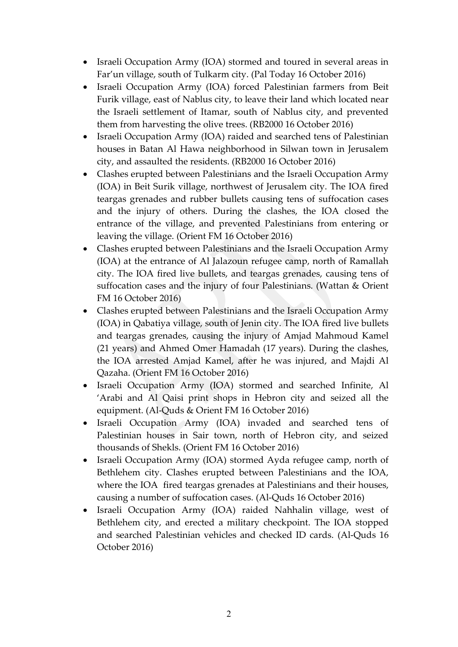- Israeli Occupation Army (IOA) stormed and toured in several areas in Far'un village, south of Tulkarm city. (Pal Today 16 October 2016)
- Israeli Occupation Army (IOA) forced Palestinian farmers from Beit Furik village, east of Nablus city, to leave their land which located near the Israeli settlement of Itamar, south of Nablus city, and prevented them from harvesting the olive trees. (RB2000 16 October 2016)
- Israeli Occupation Army (IOA) raided and searched tens of Palestinian houses in Batan Al Hawa neighborhood in Silwan town in Jerusalem city, and assaulted the residents. (RB2000 16 October 2016)
- Clashes erupted between Palestinians and the Israeli Occupation Army (IOA) in Beit Surik village, northwest of Jerusalem city. The IOA fired teargas grenades and rubber bullets causing tens of suffocation cases and the injury of others. During the clashes, the IOA closed the entrance of the village, and prevented Palestinians from entering or leaving the village. (Orient FM 16 October 2016)
- Clashes erupted between Palestinians and the Israeli Occupation Army (IOA) at the entrance of Al Jalazoun refugee camp, north of Ramallah city. The IOA fired live bullets, and teargas grenades, causing tens of suffocation cases and the injury of four Palestinians. (Wattan & Orient FM 16 October 2016)
- Clashes erupted between Palestinians and the Israeli Occupation Army (IOA) in Qabatiya village, south of Jenin city. The IOA fired live bullets and teargas grenades, causing the injury of Amjad Mahmoud Kamel (21 years) and Ahmed Omer Hamadah (17 years). During the clashes, the IOA arrested Amjad Kamel, after he was injured, and Majdi Al Qazaha. (Orient FM 16 October 2016)
- Israeli Occupation Army (IOA) stormed and searched Infinite, Al 'Arabi and Al Qaisi print shops in Hebron city and seized all the equipment. (Al-Quds & Orient FM 16 October 2016)
- Israeli Occupation Army (IOA) invaded and searched tens of Palestinian houses in Sair town, north of Hebron city, and seized thousands of Shekls. (Orient FM 16 October 2016)
- Israeli Occupation Army (IOA) stormed Ayda refugee camp, north of Bethlehem city. Clashes erupted between Palestinians and the IOA, where the IOA fired teargas grenades at Palestinians and their houses, causing a number of suffocation cases. (Al-Quds 16 October 2016)
- Israeli Occupation Army (IOA) raided Nahhalin village, west of Bethlehem city, and erected a military checkpoint. The IOA stopped and searched Palestinian vehicles and checked ID cards. (Al-Quds 16 October 2016)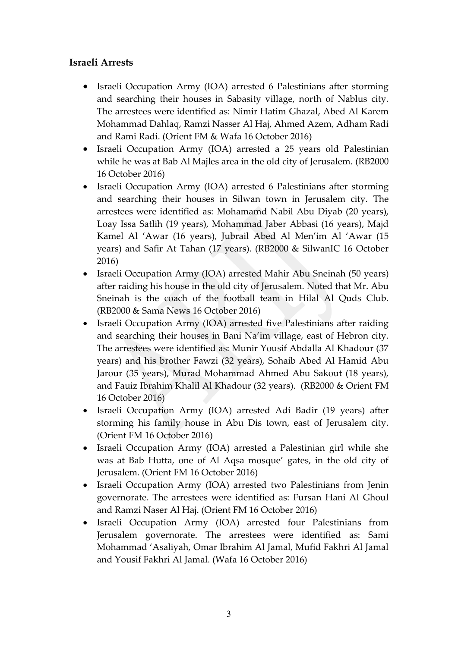#### **Israeli Arrests**

- Israeli Occupation Army (IOA) arrested 6 Palestinians after storming and searching their houses in Sabasity village, north of Nablus city. The arrestees were identified as: Nimir Hatim Ghazal, Abed Al Karem Mohammad Dahlaq, Ramzi Nasser Al Haj, Ahmed Azem, Adham Radi and Rami Radi. (Orient FM & Wafa 16 October 2016)
- Israeli Occupation Army (IOA) arrested a 25 years old Palestinian while he was at Bab Al Majles area in the old city of Jerusalem. (RB2000 16 October 2016)
- Israeli Occupation Army (IOA) arrested 6 Palestinians after storming and searching their houses in Silwan town in Jerusalem city. The arrestees were identified as: Mohamamd Nabil Abu Diyab (20 years), Loay Issa Satlih (19 years), Mohammad Jaber Abbasi (16 years), Majd Kamel Al 'Awar (16 years), Jubrail Abed Al Men'im Al 'Awar (15 years) and Safir At Tahan (17 years). (RB2000 & SilwanIC 16 October 2016)
- Israeli Occupation Army (IOA) arrested Mahir Abu Sneinah (50 years) after raiding his house in the old city of Jerusalem. Noted that Mr. Abu Sneinah is the coach of the football team in Hilal Al Quds Club. (RB2000 & Sama News 16 October 2016)
- Israeli Occupation Army (IOA) arrested five Palestinians after raiding and searching their houses in Bani Na'im village, east of Hebron city. The arrestees were identified as: Munir Yousif Abdalla Al Khadour (37 years) and his brother Fawzi (32 years), Sohaib Abed Al Hamid Abu Jarour (35 years), Murad Mohammad Ahmed Abu Sakout (18 years), and Fauiz Ibrahim Khalil Al Khadour (32 years). (RB2000 & Orient FM 16 October 2016)
- Israeli Occupation Army (IOA) arrested Adi Badir (19 years) after storming his family house in Abu Dis town, east of Jerusalem city. (Orient FM 16 October 2016)
- Israeli Occupation Army (IOA) arrested a Palestinian girl while she was at Bab Hutta, one of Al Aqsa mosque' gates, in the old city of Jerusalem. (Orient FM 16 October 2016)
- Israeli Occupation Army (IOA) arrested two Palestinians from Jenin governorate. The arrestees were identified as: Fursan Hani Al Ghoul and Ramzi Naser Al Haj. (Orient FM 16 October 2016)
- Israeli Occupation Army (IOA) arrested four Palestinians from Jerusalem governorate. The arrestees were identified as: Sami Mohammad 'Asaliyah, Omar Ibrahim Al Jamal, Mufid Fakhri Al Jamal and Yousif Fakhri Al Jamal. (Wafa 16 October 2016)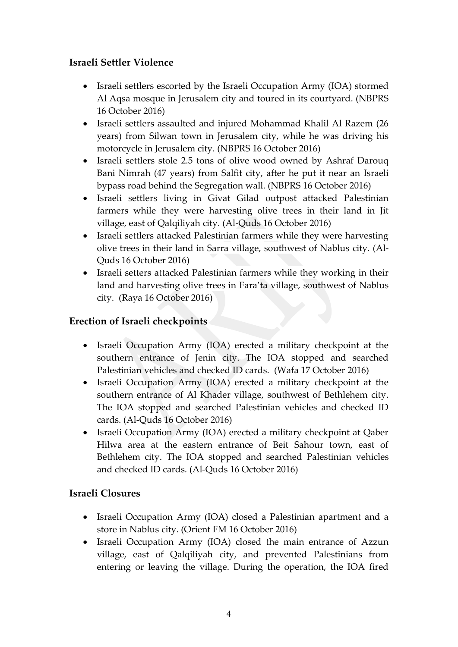### **Israeli Settler Violence**

- Israeli settlers escorted by the Israeli Occupation Army (IOA) stormed Al Aqsa mosque in Jerusalem city and toured in its courtyard. (NBPRS 16 October 2016)
- Israeli settlers assaulted and injured Mohammad Khalil Al Razem (26 years) from Silwan town in Jerusalem city, while he was driving his motorcycle in Jerusalem city. (NBPRS 16 October 2016)
- Israeli settlers stole 2.5 tons of olive wood owned by Ashraf Darouq Bani Nimrah (47 years) from Salfit city, after he put it near an Israeli bypass road behind the Segregation wall. (NBPRS 16 October 2016)
- Israeli settlers living in Givat Gilad outpost attacked Palestinian farmers while they were harvesting olive trees in their land in Jit village, east of Qalqiliyah city. (Al-Quds 16 October 2016)
- Israeli settlers attacked Palestinian farmers while they were harvesting olive trees in their land in Sarra village, southwest of Nablus city. (Al-Quds 16 October 2016)
- Israeli setters attacked Palestinian farmers while they working in their land and harvesting olive trees in Fara'ta village, southwest of Nablus city. (Raya 16 October 2016)

### **Erection of Israeli checkpoints**

- Israeli Occupation Army (IOA) erected a military checkpoint at the southern entrance of Jenin city. The IOA stopped and searched Palestinian vehicles and checked ID cards. (Wafa 17 October 2016)
- Israeli Occupation Army (IOA) erected a military checkpoint at the southern entrance of Al Khader village, southwest of Bethlehem city. The IOA stopped and searched Palestinian vehicles and checked ID cards. (Al-Quds 16 October 2016)
- Israeli Occupation Army (IOA) erected a military checkpoint at Qaber Hilwa area at the eastern entrance of Beit Sahour town, east of Bethlehem city. The IOA stopped and searched Palestinian vehicles and checked ID cards. (Al-Quds 16 October 2016)

#### **Israeli Closures**

- Israeli Occupation Army (IOA) closed a Palestinian apartment and a store in Nablus city. (Orient FM 16 October 2016)
- Israeli Occupation Army (IOA) closed the main entrance of Azzun village, east of Qalqiliyah city, and prevented Palestinians from entering or leaving the village. During the operation, the IOA fired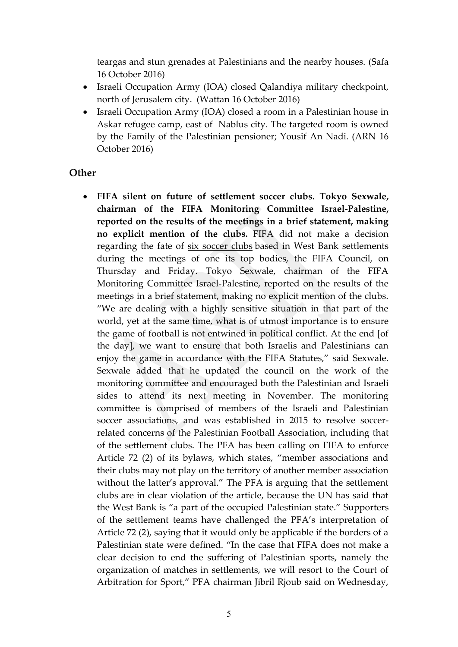teargas and stun grenades at Palestinians and the nearby houses. (Safa 16 October 2016)

- Israeli Occupation Army (IOA) closed Qalandiya military checkpoint, north of Jerusalem city. (Wattan 16 October 2016)
- Israeli Occupation Army (IOA) closed a room in a Palestinian house in Askar refugee camp, east of Nablus city. The targeted room is owned by the Family of the Palestinian pensioner; Yousif An Nadi. (ARN 16 October 2016)

#### **Other**

 **FIFA silent on future of settlement soccer clubs. Tokyo Sexwale, chairman of the FIFA Monitoring Committee Israel-Palestine, reported on the results of the meetings in a brief statement, making no explicit mention of the clubs.** FIFA did not make a decision regarding the fate of six [soccer](http://www.jpost.com/Arab-Israeli-Conflict/UN-reminds-FIFA-that-settler-soccer-teams-are-illegal-469967) clubs based in West Bank settlements during the meetings of one its top bodies, the FIFA Council, on Thursday and Friday. Tokyo Sexwale, chairman of the FIFA Monitoring Committee Israel-Palestine, reported on the results of the meetings in a brief statement, making no explicit mention of the clubs. "We are dealing with a highly sensitive situation in that part of the world, yet at the same time, what is of utmost importance is to ensure the game of football is not entwined in political conflict. At the end [of the day], we want to ensure that both Israelis and Palestinians can enjoy the game in accordance with the FIFA Statutes," said Sexwale. Sexwale added that he updated the council on the work of the monitoring committee and encouraged both the Palestinian and Israeli sides to attend its next meeting in November. The monitoring committee is comprised of members of the Israeli and Palestinian soccer associations, and was established in 2015 to resolve soccerrelated concerns of the Palestinian Football Association, including that of the settlement clubs. The PFA has been calling on FIFA to enforce Article 72 (2) of its bylaws, which states, "member associations and their clubs may not play on the territory of another member association without the latter's approval." The PFA is arguing that the settlement clubs are in clear violation of the article, because the UN has said that the West Bank is "a part of the occupied Palestinian state." Supporters of the settlement teams have challenged the PFA's interpretation of Article 72 (2), saying that it would only be applicable if the borders of a Palestinian state were defined. "In the case that FIFA does not make a clear decision to end the suffering of Palestinian sports, namely the organization of matches in settlements, we will resort to the Court of Arbitration for Sport," PFA chairman Jibril Rjoub said on Wednesday,